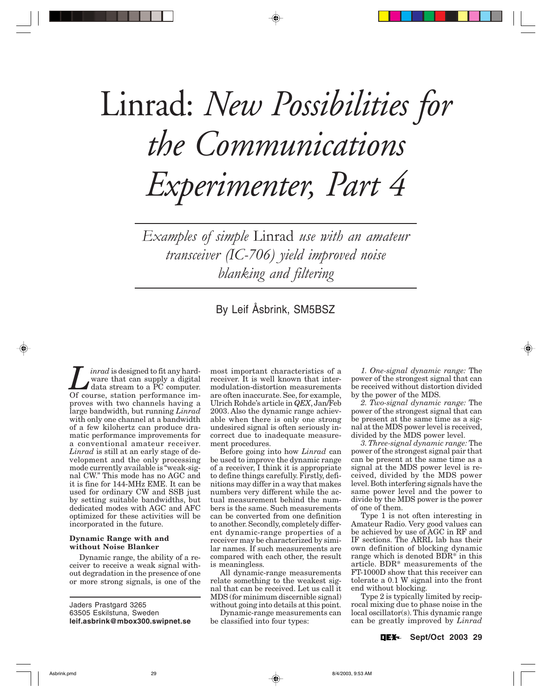# Linrad: *New Possibilities for the Communications Experimenter, Part 4*

*Examples of simple* Linrad *use with an amateur transceiver (IC-706) yield improved noise blanking and filtering*

# By Leif Åsbrink, SM5BSZ

*Linrad* is designed to fit any hard-<br>
ware that can supply a digital<br>
data stream to a PC computer.<br>
Of course station performance imware that can supply a digital Of course, station performance improves with two channels having a large bandwidth, but running *Linrad* with only one channel at a bandwidth of a few kilohertz can produce dramatic performance improvements for a conventional amateur receiver. *Linrad* is still at an early stage of development and the only processing mode currently available is "weak-signal CW." This mode has no AGC and it is fine for 144-MHz EME. It can be used for ordinary CW and SSB just by setting suitable bandwidths, but dedicated modes with AGC and AFC optimized for these activities will be incorporated in the future.

# **Dynamic Range with and without Noise Blanker**

Dynamic range, the ability of a receiver to receive a weak signal without degradation in the presence of one or more strong signals, is one of the

Jaders Prastgard 3265 63505 Eskilstuna, Sweden **leif.asbrink@mbox300.swipnet.se** most important characteristics of a receiver. It is well known that intermodulation-distortion measurements are often inaccurate. See, for example, Ulrich Rohde's article in *QEX*, Jan/Feb 2003. Also the dynamic range achievable when there is only one strong undesired signal is often seriously incorrect due to inadequate measurement procedures.

Before going into how *Linrad* can be used to improve the dynamic range of a receiver, I think it is appropriate to define things carefully. Firstly, definitions may differ in a way that makes numbers very different while the actual measurement behind the numbers is the same. Such measurements can be converted from one definition to another. Secondly, completely different dynamic-range properties of a receiver may be characterized by similar names. If such measurements are compared with each other, the result is meaningless.

All dynamic-range measurements relate something to the weakest signal that can be received. Let us call it MDS (for minimum discernible signal) without going into details at this point.

Dynamic-range measurements can be classified into four types:

*1. One-signal dynamic range:* The power of the strongest signal that can be received without distortion divided by the power of the MDS.

*2. Two-signal dynamic range:* The power of the strongest signal that can be present at the same time as a signal at the MDS power level is received, divided by the MDS power level.

*3. Three-signal dynamic range:* The power of the strongest signal pair that can be present at the same time as a signal at the MDS power level is received, divided by the MDS power level. Both interfering signals have the same power level and the power to divide by the MDS power is the power of one of them.

Type 1 is not often interesting in Amateur Radio. Very good values can be achieved by use of AGC in RF and IF sections. The ARRL lab has their own definition of blocking dynamic range which is denoted BDR\* in this article. BDR\* measurements of the FT-1000D show that this receiver can tolerate a 0.1 W signal into the front end without blocking.

Type 2 is typically limited by reciprocal mixing due to phase noise in the local oscillator(s). This dynamic range can be greatly improved by *Linrad*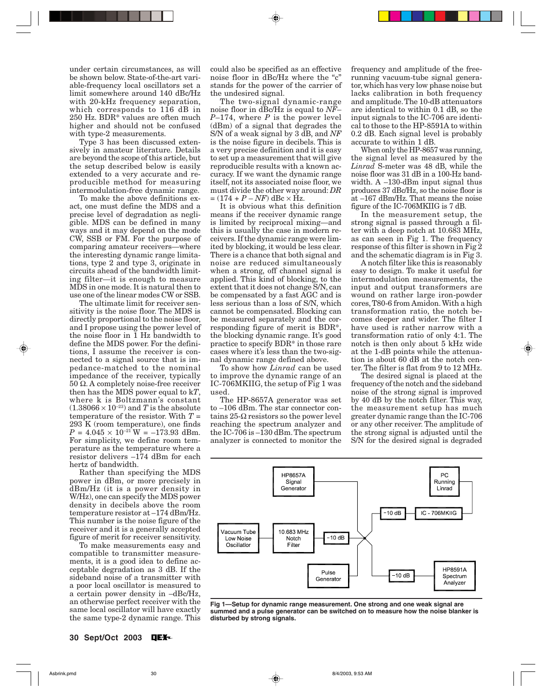under certain circumstances, as will be shown below. State-of-the-art variable-frequency local oscillators set a limit somewhere around 140 dBc/Hz with 20-kHz frequency separation, which corresponds to 116 dB in 250 Hz. BDR\* values are often much higher and should not be confused with type-2 measurements.

Type 3 has been discussed extensively in amateur literature. Details are beyond the scope of this article, but the setup described below is easily extended to a very accurate and reproducible method for measuring intermodulation-free dynamic range.

To make the above definitions exact, one must define the MDS and a precise level of degradation as negligible. MDS can be defined in many ways and it may depend on the mode CW, SSB or FM. For the purpose of comparing amateur receivers—where the interesting dynamic range limitations, type 2 and type 3, originate in circuits ahead of the bandwidth limiting filter—it is enough to measure MDS in one mode. It is natural then to use one of the linear modes CW or SSB.

The ultimate limit for receiver sensitivity is the noise floor. The MDS is directly proportional to the noise floor, and I propose using the power level of the noise floor in 1 Hz bandwidth to define the MDS power. For the definitions, I assume the receiver is connected to a signal source that is impedance-matched to the nominal impedance of the receiver, typically 50 Ω. A completely noise-free receiver then has the MDS power equal to k*T*, where k is Boltzmann's constant  $(1.38066 \times 10^{-23})$  and *T* is the absolute temperature of the resistor. With *T* = 293 K (room temperature), one finds  $P = 4.045 \times 10^{-21}$  W =  $-173.93$  dBm. For simplicity, we define room temperature as the temperature where a resistor delivers –174 dBm for each hertz of bandwidth.

Rather than specifying the MDS power in dBm, or more precisely in dBm/Hz (it is a power density in W/Hz), one can specify the MDS power density in decibels above the room temperature resistor at –174 dBm/Hz. This number is the noise figure of the receiver and it is a generally accepted figure of merit for receiver sensitivity.

To make measurements easy and compatible to transmitter measurements, it is a good idea to define acceptable degradation as 3 dB. If the sideband noise of a transmitter with a poor local oscillator is measured to a certain power density in –dBc/Hz, an otherwise perfect receiver with the same local oscillator will have exactly the same type-2 dynamic range. This could also be specified as an effective noise floor in dBc/Hz where the "c" stands for the power of the carrier of the undesired signal.

The two-signal dynamic-range noise floor in dBc/Hz is equal to *NF*– *P*–174, where *P* is the power level (dBm) of a signal that degrades the S/N of a weak signal by 3 dB, and *NF* is the noise figure in decibels. This is a very precise definition and it is easy to set up a measurement that will give reproducible results with a known accuracy. If we want the dynamic range itself, not its associated noise floor, we must divide the other way around: *DR*  $= (174 + P - NF)$  dBc  $\times$  Hz.

It is obvious what this definition means if the receiver dynamic range is limited by reciprocal mixing—and this is usually the case in modern receivers. If the dynamic range were limited by blocking, it would be less clear. There is a chance that both signal and noise are reduced simultaneously when a strong, off channel signal is applied. This kind of blocking, to the extent that it does not change S/N, can be compensated by a fast AGC and is less serious than a loss of S/N, which cannot be compensated. Blocking can be measured separately and the corresponding figure of merit is BDR\*, the blocking dynamic range. It's good practice to specify BDR\* in those rare cases where it's less than the two-signal dynamic range defined above.

To show how *Linrad* can be used to improve the dynamic range of an IC-706MKIIG, the setup of Fig 1 was used.

The HP-8657A generator was set to –106 dBm. The star connector contains  $25$ -Ω resistors so the power level reaching the spectrum analyzer and the IC-706 is –130 dBm. The spectrum analyzer is connected to monitor the

frequency and amplitude of the freerunning vacuum-tube signal generator, which has very low phase noise but lacks calibration in both frequency and amplitude. The 10-dB attenuators are identical to within 0.1 dB, so the input signals to the IC-706 are identical to those to the HP-8591A to within 0.2 dB. Each signal level is probably accurate to within 1 dB.

When only the HP-8657 was running, the signal level as measured by the *Linrad* S-meter was 48 dB, while the noise floor was 31 dB in a 100-Hz bandwidth. A –130-dBm input signal thus produces 37 dBc/Hz, so the noise floor is at –167 dBm/Hz. That means the noise figure of the IC-706MKIIG is 7 dB.

In the measurement setup, the strong signal is passed through a filter with a deep notch at 10.683 MHz, as can seen in Fig 1. The frequency response of this filter is shown in Fig 2 and the schematic diagram is in Fig 3.

A notch filter like this is reasonably easy to design. To make it useful for intermodulation measurements, the input and output transformers are wound on rather large iron-powder cores, T80-6 from Amidon. With a high transformation ratio, the notch becomes deeper and wider. The filter I have used is rather narrow with a transformation ratio of only 4:1. The notch is then only about 5 kHz wide at the 1-dB points while the attenuation is about 60 dB at the notch center. The filter is flat from 9 to 12 MHz.

The desired signal is placed at the frequency of the notch and the sideband noise of the strong signal is improved by 40 dB by the notch filter. This way, the measurement setup has much greater dynamic range than the IC-706 or any other receiver. The amplitude of the strong signal is adjusted until the S/N for the desired signal is degraded



**Fig 1—Setup for dynamic range measurement. One strong and one weak signal are summed and a pulse generator can be switched on to measure how the noise blanker is disturbed by strong signals.**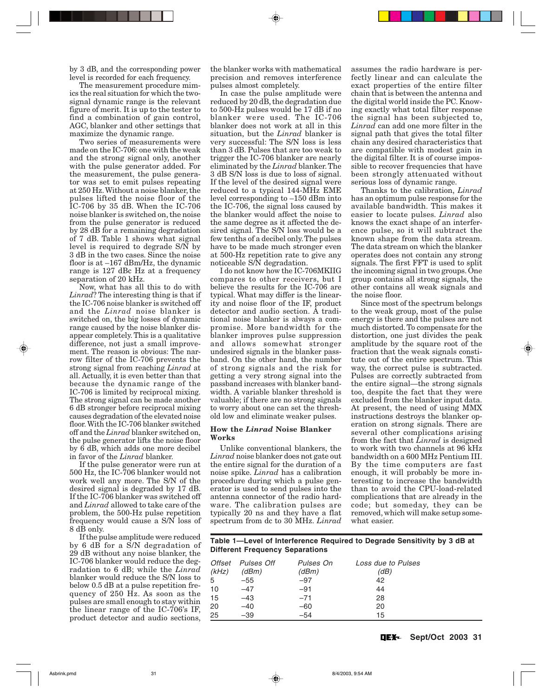by 3 dB, and the corresponding power level is recorded for each frequency.

The measurement procedure mimics the real situation for which the twosignal dynamic range is the relevant figure of merit. It is up to the tester to find a combination of gain control, AGC, blanker and other settings that maximize the dynamic range.

Two series of measurements were made on the IC-706: one with the weak and the strong signal only, another with the pulse generator added. For the measurement, the pulse generator was set to emit pulses repeating at 250 Hz. Without a noise blanker, the pulses lifted the noise floor of the IC-706 by 35 dB. When the IC-706 noise blanker is switched on, the noise from the pulse generator is reduced by 28 dB for a remaining degradation of 7 dB. Table 1 shows what signal level is required to degrade S/N by 3 dB in the two cases. Since the noise floor is at –167 dBm/Hz, the dynamic range is 127 dBc Hz at a frequency separation of 20 kHz.

Now, what has all this to do with *Linrad*? The interesting thing is that if the IC-706 noise blanker is switched off and the *Linrad* noise blanker is switched on, the big losses of dynamic range caused by the noise blanker disappear completely. This is a qualitative difference, not just a small improvement. The reason is obvious: The narrow filter of the IC-706 prevents the strong signal from reaching *Linrad* at all. Actually, it is even better than that because the dynamic range of the IC-706 is limited by reciprocal mixing. The strong signal can be made another 6 dB stronger before reciprocal mixing causes degradation of the elevated noise floor. With the IC-706 blanker switched off and the *Linrad* blanker switched on, the pulse generator lifts the noise floor by 6 dB, which adds one more decibel in favor of the *Linrad* blanker.

If the pulse generator were run at 500 Hz, the IC-706 blanker would not work well any more. The S/N of the desired signal is degraded by 17 dB. If the IC-706 blanker was switched off and *Linrad* allowed to take care of the problem, the 500-Hz pulse repetition frequency would cause a S/N loss of 8 dB only.

If the pulse amplitude were reduced by 6 dB for a S/N degradation of 29 dB without any noise blanker, the IC-706 blanker would reduce the degradation to 6 dB; while the *Linrad* blanker would reduce the S/N loss to below 0.5 dB at a pulse repetition frequency of 250 Hz. As soon as the pulses are small enough to stay within the linear range of the IC-706's IF, product detector and audio sections,

the blanker works with mathematical precision and removes interference pulses almost completely.

In case the pulse amplitude were reduced by 20 dB, the degradation due to 500-Hz pulses would be 17 dB if no blanker were used. The IC-706 blanker does not work at all in this situation, but the *Linrad* blanker is very successful: The S/N loss is less than 3 dB. Pulses that are too weak to trigger the IC-706 blanker are nearly eliminated by the *Linrad* blanker. The 3 dB S/N loss is due to loss of signal. If the level of the desired signal were reduced to a typical 144-MHz EME level corresponding to –150 dBm into the IC-706, the signal loss caused by the blanker would affect the noise to the same degree as it affected the desired signal. The S/N loss would be a few tenths of a decibel only. The pulses have to be made much stronger even at 500-Hz repetition rate to give any noticeable S/N degradation.

I do not know how the IC-706MKIIG compares to other receivers, but I believe the results for the IC-706 are typical. What may differ is the linearity and noise floor of the IF, product detector and audio section. A traditional noise blanker is always a compromise. More bandwidth for the blanker improves pulse suppression and allows somewhat stronger undesired signals in the blanker passband. On the other hand, the number of strong signals and the risk for getting a very strong signal into the passband increases with blanker bandwidth. A variable blanker threshold is valuable; if there are no strong signals to worry about one can set the threshold low and eliminate weaker pulses.

# **How the** *Linrad* **Noise Blanker Works**

Unlike conventional blankers, the *Linrad* noise blanker does not gate out the entire signal for the duration of a noise spike. *Linrad* has a calibration procedure during which a pulse generator is used to send pulses into the antenna connector of the radio hardware. The calibration pulses are typically 20 ns and they have a flat spectrum from dc to 30 MHz. *Linrad*

assumes the radio hardware is perfectly linear and can calculate the exact properties of the entire filter chain that is between the antenna and the digital world inside the PC. Knowing exactly what total filter response the signal has been subjected to, *Linrad* can add one more filter in the signal path that gives the total filter chain any desired characteristics that are compatible with modest gain in the digital filter. It is of course impossible to recover frequencies that have been strongly attenuated without serious loss of dynamic range.

Thanks to the calibration, *Linrad* has an optimum pulse response for the available bandwidth. This makes it easier to locate pulses. *Linrad* also knows the exact shape of an interference pulse, so it will subtract the known shape from the data stream. The data stream on which the blanker operates does not contain any strong signals. The first FFT is used to split the incoming signal in two groups. One group contains all strong signals, the other contains all weak signals and the noise floor.

Since most of the spectrum belongs to the weak group, most of the pulse energy is there and the pulses are not much distorted. To compensate for the distortion, one just divides the peak amplitude by the square root of the fraction that the weak signals constitute out of the entire spectrum. This way, the correct pulse is subtracted. Pulses are correctly subtracted from the entire signal—the strong signals too, despite the fact that they were excluded from the blanker input data. At present, the need of using MMX instructions destroys the blanker operation on strong signals. There are several other complications arising from the fact that *Linrad* is designed to work with two channels at 96 kHz bandwidth on a 600 MHz Pentium III. By the time computers are fast enough, it will probably be more interesting to increase the bandwidth than to avoid the CPU-load-related complications that are already in the code; but someday, they can be removed, which will make setup somewhat easier.

# **Table 1—Level of Interference Required to Degrade Sensitivity by 3 dB at Different Frequency Separations**

|       | Offset Pulses Off | Pulses On | Loss due to Pulses |
|-------|-------------------|-----------|--------------------|
| (kHz) | (dBm)             | (dBm)     | (dB)               |
| 5     | $-55$             | $-97$     | 42                 |
| 10    | $-47$             | $-91$     | 44                 |
| 15    | $-43$             | $-71$     | 28                 |
| 20    | $-40$             | $-60$     | 20                 |
| 25    | $-39$             | $-54$     | 15                 |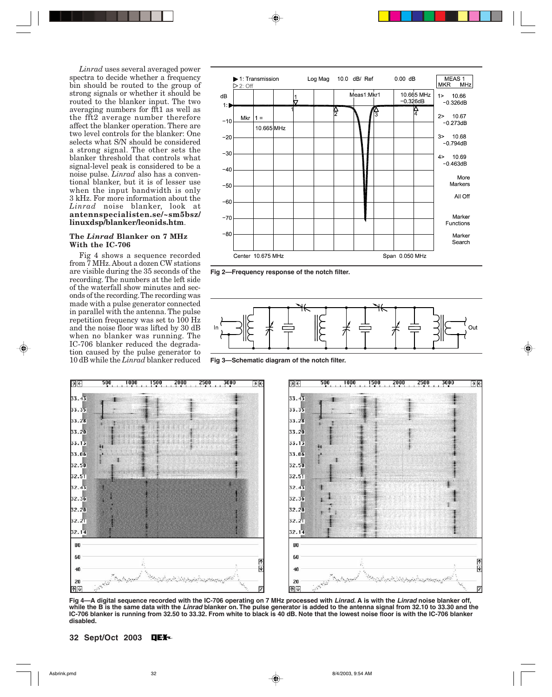*Linrad* uses several averaged power spectra to decide whether a frequency bin should be routed to the group of strong signals or whether it should be routed to the blanker input. The two averaging numbers for fft1 as well as the fft2 average number therefore affect the blanker operation. There are two level controls for the blanker: One selects what S/N should be considered a strong signal. The other sets the blanker threshold that controls what signal-level peak is considered to be a noise pulse. *Linrad* also has a conventional blanker, but it is of lesser use when the input bandwidth is only 3 kHz. For more information about the *Linrad* noise blanker, look at **antennspecialisten.se/~sm5bsz/ linuxdsp/blanker/leonids.htm**.

# **The** *Linrad* **Blanker on 7 MHz With the IC-706**

Fig 4 shows a sequence recorded from 7 MHz. About a dozen CW stations are visible during the 35 seconds of the recording. The numbers at the left side of the waterfall show minutes and seconds of the recording. The recording was made with a pulse generator connected in parallel with the antenna. The pulse repetition frequency was set to 100 Hz and the noise floor was lifted by 30 dB when no blanker was running. The IC-706 blanker reduced the degradation caused by the pulse generator to 10 dB while the *Linrad* blanker reduced



**Fig 2—Frequency response of the notch filter.**



**Fig 3—Schematic diagram of the notch filter.**



**Fig 4—A digital sequence recorded with the IC-706 operating on 7 MHz processed with Linrad. A is with the Linrad noise blanker off, while the B is the same data with the Linrad blanker on. The pulse generator is added to the antenna signal from 32.10 to 33.30 and the IC-706 blanker is running from 32.50 to 33.32. From white to black is 40 dB. Note that the lowest noise floor is with the IC-706 blanker disabled.**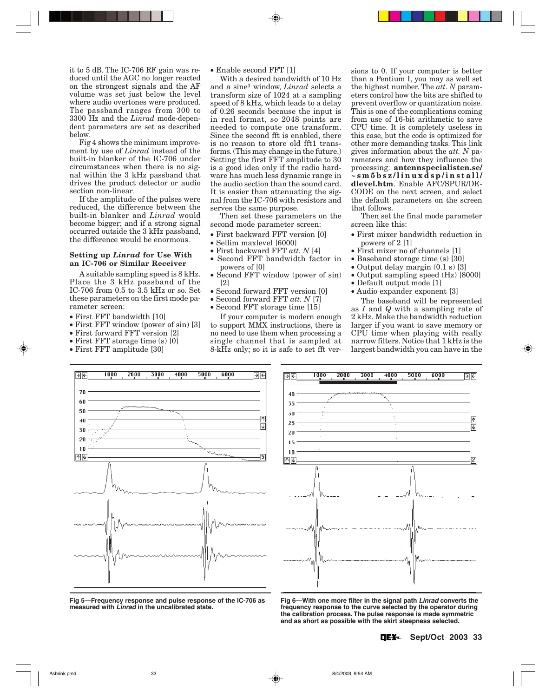it to 5 dB. The IC-706 RF gain was reduced until the AGC no longer reacted on the strongest signals and the AF volume was set just below the level where audio overtones were produced. The passband ranges from 300 to 3300 Hz and the *Linrad* mode-dependent parameters are set as described below.

Fig 4 shows the minimum improvement by use of *Linrad* instead of the built-in blanker of the IC-706 under circumstances when there is no signal within the 3 kHz passband that drives the product detector or audio section non-linear.

If the amplitude of the pulses were reduced, the difference between the built-in blanker and *Linrad* would become bigger; and if a strong signal occurred outside the 3 kHz passband, the difference would be enormous.

# **Setting up** *Linrad* **for Use With an IC-706 or Similar Receiver**

A suitable sampling speed is 8 kHz. Place the 3 kHz passband of the IC-706 from 0.5 to 3.5 kHz or so. Set these parameters on the first mode parameter screen:

- First FFT bandwidth [10]
- First FFT window (power of sin) [3]
- First forward FFT version [2]
- First FFT storage time (s) [0]
- First FFT amplitude [30]

• Enable second FFT [1]

With a desired bandwidth of 10 Hz and a sine3 window, *Linrad* selects a transform size of 1024 at a sampling speed of 8 kHz, which leads to a delay of 0.26 seconds because the input is in real format, so 2048 points are needed to compute one transform. Since the second fft is enabled, there is no reason to store old fft1 transforms. (This may change in the future.) Setting the first FFT amplitude to 30 is a good idea only if the radio hardware has much less dynamic range in the audio section than the sound card. It is easier than attenuating the signal from the IC-706 with resistors and serves the same purpose.

Then set these parameters on the second mode parameter screen:

- First backward FFT version [0]
- Sellim maxlevel [6000]
- First backward FFT *att. N* [4]
- Second FFT bandwidth factor in powers of [0]
- Second FFT window (power of sin) [2]

If your computer is modern enough to support MMX instructions, there is no need to use them when processing a single channel that is sampled at 8-kHz only; so it is safe to set fft ver-

- Second forward FFT version [0]
- Second forward FFT *att. N* [7]
- Second FFT storage time [15]

the highest number. The *att*. *N* parameters control how the bits are shifted to prevent overflow or quantization noise. This is one of the complications coming from use of 16-bit arithmetic to save CPU time. It is completely useless in this case, but the code is optimized for other more demanding tasks. This link gives information about the *att. N* parameters and how they influence the processing: **antennspecialisten.se/ ~sm5bsz/linuxdsp/install/ dlevel.htm**. Enable AFC/SPUR/DE-CODE on the next screen, and select the default parameters on the screen that follows.

sions to 0. If your computer is better than a Pentium I, you may as well set

Then set the final mode parameter screen like this:

- First mixer bandwidth reduction in powers of 2 [1]
- First mixer no of channels [1]
- Baseband storage time (s) [30]
- Output delay margin (0.1 s) [3]
- Output sampling speed (Hz) [8000]
- Default output mode [1]
- Audio expander exponent [3]

The baseband will be represented as *I* and *Q* with a sampling rate of 2 kHz. Make the bandwidth reduction larger if you want to save memory or CPU time when playing with really narrow filters. Notice that 1 kHz is the largest bandwidth you can have in the



**Fig 5—Frequency response and pulse response of the IC-706 as measured with Linrad in the uncalibrated state.**



**Fig 6—With one more filter in the signal path Linrad converts the frequency response to the curve selected by the operator during the calibration process. The pulse response is made symmetric and as short as possible with the skirt steepness selected.**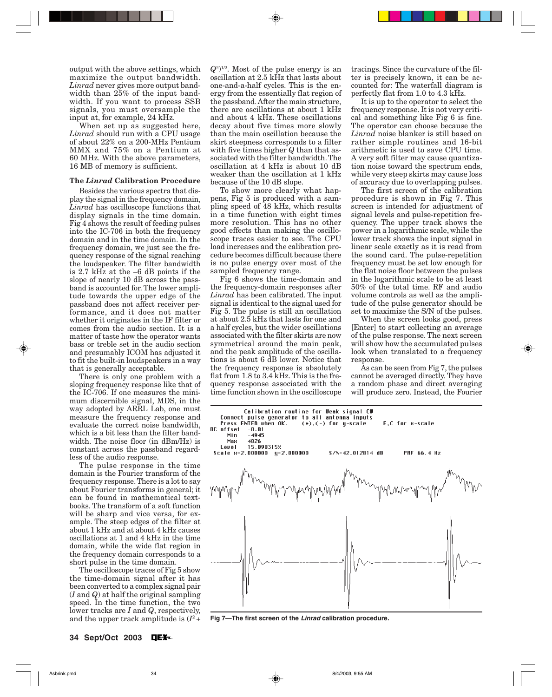output with the above settings, which maximize the output bandwidth. *Linrad* never gives more output bandwidth than 25% of the input bandwidth. If you want to process SSB signals, you must oversample the input at, for example, 24 kHz.

When set up as suggested here, *Linrad* should run with a CPU usage of about 22% on a 200-MHz Pentium MMX and 75% on a Pentium at 60 MHz. With the above parameters, 16 MB of memory is sufficient.

#### **The** *Linrad* **Calibration Procedure**

Besides the various spectra that display the signal in the frequency domain, *Linrad* has oscilloscope functions that display signals in the time domain. Fig 4 shows the result of feeding pulses into the IC-706 in both the frequency domain and in the time domain. In the frequency domain, we just see the frequency response of the signal reaching the loudspeaker. The filter bandwidth is 2.7 kHz at the –6 dB points if the slope of nearly 10 dB across the passband is accounted for. The lower amplitude towards the upper edge of the passband does not affect receiver performance, and it does not matter whether it originates in the IF filter or comes from the audio section. It is a matter of taste how the operator wants bass or treble set in the audio section and presumably ICOM has adjusted it to fit the built-in loudspeakers in a way that is generally acceptable.

There is only one problem with a sloping frequency response like that of the IC-706. If one measures the minimum discernible signal, MDS, in the way adopted by ARRL Lab, one must measure the frequency response and evaluate the correct noise bandwidth, which is a bit less than the filter bandwidth. The noise floor (in dBm/Hz) is constant across the passband regardless of the audio response.

The pulse response in the time domain is the Fourier transform of the frequency response. There is a lot to say about Fourier transforms in general; it can be found in mathematical textbooks. The transform of a soft function will be sharp and vice versa, for example. The steep edges of the filter at about 1 kHz and at about 4 kHz causes oscillations at 1 and 4 kHz in the time domain, while the wide flat region in the frequency domain corresponds to a short pulse in the time domain.

The oscilloscope traces of Fig 5 show the time-domain signal after it has been converted to a complex signal pair (*I* and *Q*) at half the original sampling speed. In the time function, the two lower tracks are *I* and *Q*, respectively, and the upper track amplitude is  $(I^2 + I^2)$ 

 $(Q^2)^{1/2}$ . Most of the pulse energy is an oscillation at 2.5 kHz that lasts about one-and-a-half cycles. This is the energy from the essentially flat region of the passband. After the main structure, there are oscillations at about 1 kHz and about 4 kHz. These oscillations decay about five times more slowly than the main oscillation because the skirt steepness corresponds to a filter with five times higher *Q* than that associated with the filter bandwidth. The oscillation at 4 kHz is about 10 dB weaker than the oscillation at 1 kHz because of the 10 dB slope.

To show more clearly what happens, Fig 5 is produced with a sampling speed of 48 kHz, which results in a time function with eight times more resolution. This has no other good effects than making the oscilloscope traces easier to see. The CPU load increases and the calibration procedure becomes difficult because there is no pulse energy over most of the sampled frequency range.

Fig 6 shows the time-domain and the frequency-domain responses after *Linrad* has been calibrated. The input signal is identical to the signal used for Fig 5. The pulse is still an oscillation at about 2.5 kHz that lasts for one and a half cycles, but the wider oscillations associated with the filter skirts are now symmetrical around the main peak, and the peak amplitude of the oscillations is about 6 dB lower. Notice that the frequency response is absolutely flat from 1.8 to 3.4 kHz. This is the frequency response associated with the time function shown in the oscilloscope

tracings. Since the curvature of the filter is precisely known, it can be accounted for: The waterfall diagram is perfectly flat from 1.0 to 4.3 kHz.

It is up to the operator to select the frequency response. It is not very critical and something like Fig 6 is fine. The operator can choose because the *Linrad* noise blanker is still based on rather simple routines and 16-bit arithmetic is used to save CPU time. A very soft filter may cause quantization noise toward the spectrum ends, while very steep skirts may cause loss of accuracy due to overlapping pulses.

The first screen of the calibration procedure is shown in Fig 7. This screen is intended for adjustment of signal levels and pulse-repetition frequency. The upper track shows the power in a logarithmic scale, while the lower track shows the input signal in linear scale exactly as it is read from the sound card. The pulse-repetition frequency must be set low enough for the flat noise floor between the pulses in the logarithmic scale to be at least 50% of the total time. RF and audio volume controls as well as the amplitude of the pulse generator should be set to maximize the S/N of the pulses.

When the screen looks good, press [Enter] to start collecting an average of the pulse response. The next screen will show how the accumulated pulses look when translated to a frequency response.

As can be seen from Fig 7, the pulses cannot be averaged directly. They have a random phase and direct averaging will produce zero. Instead, the Fourier



**Fig 7—The first screen of the Linrad calibration procedure.**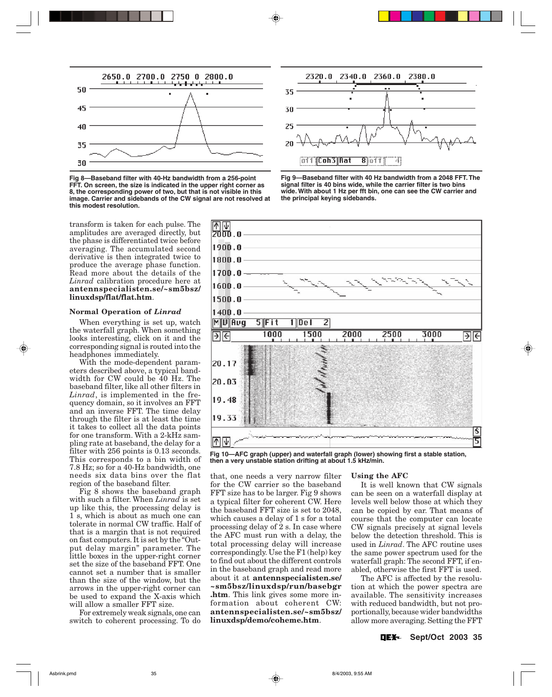

**Fig 8—Baseband filter with 40-Hz bandwidth from a 256-point FFT. On screen, the size is indicated in the upper right corner as 8, the corresponding power of two, but that is not visible in this image. Carrier and sidebands of the CW signal are not resolved at this modest resolution.**

transform is taken for each pulse. The amplitudes are averaged directly, but the phase is differentiated twice before averaging. The accumulated second derivative is then integrated twice to produce the average phase function. Read more about the details of the *Linrad* calibration procedure here at **antennspecialisten.se/~sm5bsz/ linuxdsp/flat/flat.htm**.

#### **Normal Operation of** *Linrad*

When everything is set up, watch the waterfall graph. When something looks interesting, click on it and the corresponding signal is routed into the headphones immediately.

With the mode-dependent parameters described above, a typical bandwidth for CW could be 40 Hz. The baseband filter, like all other filters in *Linrad*, is implemented in the frequency domain, so it involves an FFT and an inverse FFT. The time delay through the filter is at least the time it takes to collect all the data points for one transform. With a 2-kHz sampling rate at baseband, the delay for a filter with 256 points is 0.13 seconds. This corresponds to a bin width of 7.8 Hz; so for a 40-Hz bandwidth, one needs six data bins over the flat region of the baseband filter.

Fig 8 shows the baseband graph with such a filter. When *Linrad* is set up like this, the processing delay is 1 s, which is about as much one can tolerate in normal CW traffic. Half of that is a margin that is not required on fast computers. It is set by the "Output delay margin" parameter. The little boxes in the upper-right corner set the size of the baseband FFT. One cannot set a number that is smaller than the size of the window, but the arrows in the upper-right corner can be used to expand the X-axis which will allow a smaller FFT size.

For extremely weak signals, one can switch to coherent processing. To do







**Fig 10—AFC graph (upper) and waterfall graph (lower) showing first a stable station, then a very unstable station drifting at about 1.5 kHz/min.**

that, one needs a very narrow filter for the CW carrier so the baseband FFT size has to be larger. Fig 9 shows a typical filter for coherent CW. Here the baseband FFT size is set to 2048, which causes a delay of 1 s for a total processing delay of 2 s. In case where the AFC must run with a delay, the total processing delay will increase correspondingly. Use the F1 (help) key to find out about the different controls in the baseband graph and read more about it at **antennspecialisten.se/ ~sm5bsz/linuxdsp/run/basebgr .htm**. This link gives some more information about coherent CW: **antennspecialisten.se/~sm5bsz/ linuxdsp/demo/coheme.htm**.

#### **Using the AFC**

It is well known that CW signals can be seen on a waterfall display at levels well below those at which they can be copied by ear. That means of course that the computer can locate CW signals precisely at signal levels below the detection threshold. This is used in *Linrad*. The AFC routine uses the same power spectrum used for the waterfall graph: The second FFT, if enabled, otherwise the first FFT is used.

The AFC is affected by the resolution at which the power spectra are available. The sensitivity increases with reduced bandwidth, but not proportionally, because wider bandwidths allow more averaging. Setting the FFT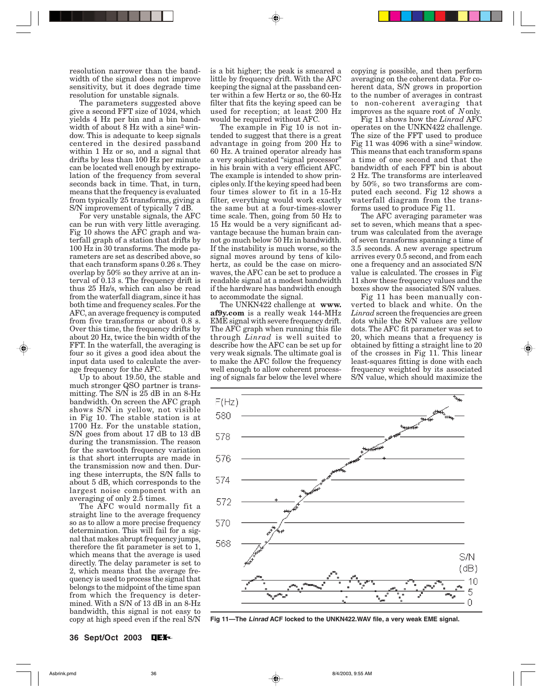resolution narrower than the bandwidth of the signal does not improve sensitivity, but it does degrade time resolution for unstable signals.

The parameters suggested above give a second FFT size of 1024, which yields 4 Hz per bin and a bin bandwidth of about 8 Hz with a sine<sup>2</sup> window. This is adequate to keep signals centered in the desired passband within 1 Hz or so, and a signal that drifts by less than 100 Hz per minute can be located well enough by extrapolation of the frequency from several seconds back in time. That, in turn, means that the frequency is evaluated from typically 25 transforms, giving a S/N improvement of typically 7 dB.

For very unstable signals, the AFC can be run with very little averaging. Fig 10 shows the AFC graph and waterfall graph of a station that drifts by 100 Hz in 30 transforms. The mode parameters are set as described above, so that each transform spans 0.26 s. They overlap by 50% so they arrive at an interval of 0.13 s. The frequency drift is thus 25 Hz/s, which can also be read from the waterfall diagram, since it has both time and frequency scales. For the AFC, an average frequency is computed from five transforms or about 0.8 s. Over this time, the frequency drifts by about 20 Hz, twice the bin width of the FFT. In the waterfall, the averaging is four so it gives a good idea about the input data used to calculate the average frequency for the AFC.

Up to about 19.50, the stable and much stronger QSO partner is transmitting. The S/N is 25 dB in an 8-Hz bandwidth. On screen the AFC graph shows S/N in yellow, not visible in Fig 10. The stable station is at 1700 Hz. For the unstable station, S/N goes from about 17 dB to 13 dB during the transmission. The reason for the sawtooth frequency variation is that short interrupts are made in the transmission now and then. During these interrupts, the S/N falls to about 5 dB, which corresponds to the largest noise component with an averaging of only 2.5 times.

The AFC would normally fit a straight line to the average frequency so as to allow a more precise frequency determination. This will fail for a signal that makes abrupt frequency jumps, therefore the fit parameter is set to 1, which means that the average is used directly. The delay parameter is set to 2, which means that the average frequency is used to process the signal that belongs to the midpoint of the time span from which the frequency is determined. With a S/N of 13 dB in an 8-Hz bandwidth, this signal is not easy to copy at high speed even if the real S/N is a bit higher; the peak is smeared a little by frequency drift. With the AFC keeping the signal at the passband center within a few Hertz or so, the 60-Hz filter that fits the keying speed can be used for reception; at least 200 Hz would be required without AFC.

The example in Fig 10 is not intended to suggest that there is a great advantage in going from 200 Hz to 60 Hz. A trained operator already has a very sophisticated "signal processor" in his brain with a very efficient AFC. The example is intended to show principles only. If the keying speed had been four times slower to fit in a 15-Hz filter, everything would work exactly the same but at a four-times-slower time scale. Then, going from 50 Hz to 15 Hz would be a very significant advantage because the human brain cannot go much below 50 Hz in bandwidth. If the instability is much worse, so the signal moves around by tens of kilohertz, as could be the case on microwaves, the AFC can be set to produce a readable signal at a modest bandwidth if the hardware has bandwidth enough to accommodate the signal.

The UNKN422 challenge at **www. af9y.com** is a really weak 144-MHz EME signal with severe frequency drift. The AFC graph when running this file through *Linrad* is well suited to describe how the AFC can be set up for very weak signals. The ultimate goal is to make the AFC follow the frequency well enough to allow coherent processing of signals far below the level where copying is possible, and then perform averaging on the coherent data. For coherent data, S/N grows in proportion to the number of averages in contrast to non-coherent averaging that improves as the square root of *N* only.

Fig 11 shows how the *Linrad* AFC operates on the UNKN422 challenge. The size of the FFT used to produce Fig 11 was 4096 with a sine<sup>2</sup> window. This means that each transform spans a time of one second and that the bandwidth of each FFT bin is about 2 Hz. The transforms are interleaved by 50%, so two transforms are computed each second. Fig 12 shows a waterfall diagram from the transforms used to produce Fig 11.

The AFC averaging parameter was set to seven, which means that a spectrum was calculated from the average of seven transforms spanning a time of 3.5 seconds. A new average spectrum arrives every 0.5 second, and from each one a frequency and an associated S/N value is calculated. The crosses in Fig 11 show these frequency values and the boxes show the associated S/N values.

Fig 11 has been manually converted to black and white. On the *Linrad* screen the frequencies are green dots while the S/N values are yellow dots. The AFC fit parameter was set to 20, which means that a frequency is obtained by fitting a straight line to 20 of the crosses in Fig 11. This linear least-squares fitting is done with each frequency weighted by its associated S/N value, which should maximize the



**Fig 11—The Linrad ACF locked to the UNKN422.WAV file, a very weak EME signal.**